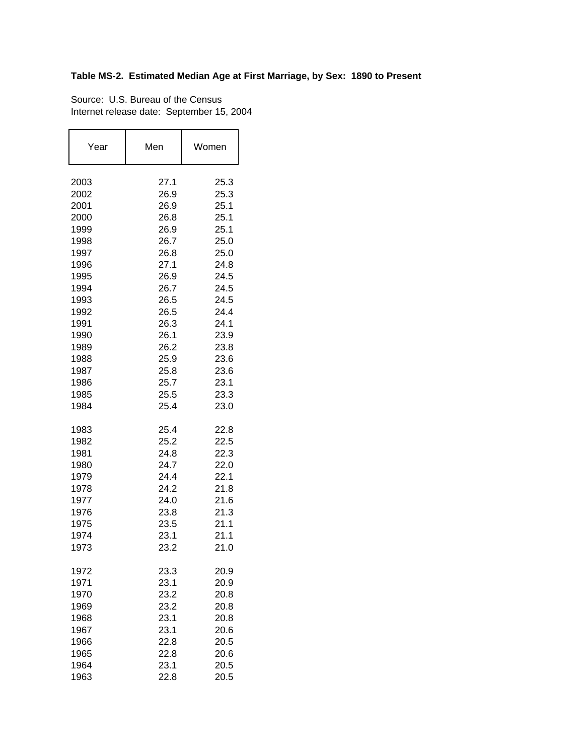## **Table MS-2. Estimated Median Age at First Marriage, by Sex: 1890 to Present**

Source: U.S. Bureau of the Census Internet release date: September 15, 2004

| Year         | Men          | Women        |
|--------------|--------------|--------------|
| 2003         | 27.1         | 25.3         |
| 2002         | 26.9         | 25.3         |
| 2001         | 26.9         | 25.1         |
| 2000         | 26.8         | 25.1         |
| 1999         | 26.9         | 25.1         |
| 1998         | 26.7         | 25.0         |
| 1997         | 26.8         | 25.0         |
| 1996         | 27.1         | 24.8         |
| 1995         | 26.9         | 24.5         |
| 1994         | 26.7         | 24.5         |
| 1993         | 26.5         | 24.5         |
| 1992<br>1991 | 26.5<br>26.3 | 24.4<br>24.1 |
| 1990         | 26.1         | 23.9         |
| 1989         | 26.2         | 23.8         |
| 1988         | 25.9         | 23.6         |
| 1987         | 25.8         | 23.6         |
| 1986         | 25.7         | 23.1         |
| 1985         | 25.5         | 23.3         |
| 1984         | 25.4         | 23.0         |
| 1983         | 25.4         | 22.8         |
| 1982         | 25.2         | 22.5         |
| 1981         | 24.8         | 22.3         |
| 1980         | 24.7         | 22.0         |
| 1979         | 24.4         | 22.1         |
| 1978         | 24.2         | 21.8         |
| 1977         | 24.0         | 21.6         |
| 1976         | 23.8         | 21.3         |
| 1975<br>1974 | 23.5<br>23.1 | 21.1<br>21.1 |
| 1973         | 23.2         | 21.0         |
| 1972         | 23.3         | 20.9         |
| 1971         | 23.1         | 20.9         |
| 1970         | 23.2         | 20.8         |
| 1969         | 23.2         | 20.8         |
| 1968         | 23.1         | 20.8         |
| 1967         | 23.1         | 20.6         |
| 1966         | 22.8         | 20.5         |
| 1965         | 22.8         | 20.6         |
| 1964         | 23.1         | 20.5         |
| 1963         | 22.8         | 20.5         |